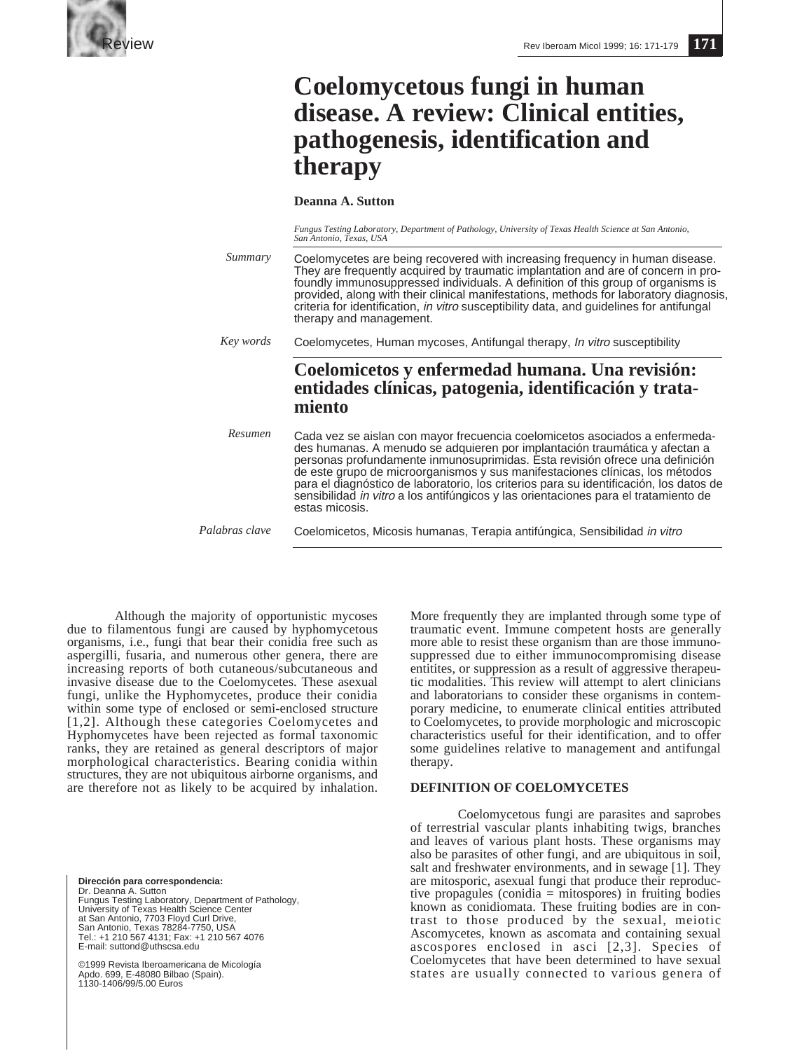

# **Coelomycetous fungi in human disease. A review: Clinical entities, pathogenesis, identification and therapy**

**Deanna A. Sutton**

*Fungus Testing Laboratory, Department of Pathology, University of Texas Health Science at San Antonio, San Antonio, Texas, USA*

Coelomycetes are being recovered with increasing frequency in human disease. They are frequently acquired by traumatic implantation and are of concern in profoundly immunosuppressed individuals. A definition of this group of organisms is provided, along with their clinical manifestations, methods for laboratory diagnosis, criteria for identification, in vitro susceptibility data, and guidelines for antifungal therapy and management. Coelomycetes, Human mycoses, Antifungal therapy, In vitro susceptibility **Coelomicetos y enfermedad humana. Una revisión: entidades clínicas, patogenia, identificación y tratamiento** Cada vez se aislan con mayor frecuencia coelomicetos asociados a enfermedades humanas. A menudo se adquieren por implantación traumática y afectan a personas profundamente inmunosuprimidas. Esta revisión ofrece una definición de este grupo de microorganismos y sus manifestaciones clínicas, los métodos para el diagnóstico de laboratorio, los criterios para su identificación, los datos de sensibilidad in vitro a los antifúngicos y las orientaciones para el tratamiento de estas micosis. Coelomicetos, Micosis humanas, Terapia antifúngica, Sensibilidad in vitro *Summary Key words Resumen Palabras clave*

Although the majority of opportunistic mycoses due to filamentous fungi are caused by hyphomycetous organisms, i.e., fungi that bear their conidia free such as aspergilli, fusaria, and numerous other genera, there are increasing reports of both cutaneous/subcutaneous and invasive disease due to the Coelomycetes. These asexual fungi, unlike the Hyphomycetes, produce their conidia within some type of enclosed or semi-enclosed structure [1,2]. Although these categories Coelomycetes and Hyphomycetes have been rejected as formal taxonomic ranks, they are retained as general descriptors of major morphological characteristics. Bearing conidia within structures, they are not ubiquitous airborne organisms, and are therefore not as likely to be acquired by inhalation.

**Dirección para correspondencia:**  Dr. Deanna A. Sutton Fungus Testing Laboratory, Department of Pathology, University of Texas Health Science Center at San Antonio, 7703 Floyd Curl Drive, San Antonio, Texas 78284-7750, USA Tel.: +1 210 567 4131; Fax: +1 210 567 4076 E-mail: suttond@uthscsa.edu

©1999 Revista Iberoamericana de Micología Apdo. 699, E-48080 Bilbao (Spain). 1130-1406/99/5.00 Euros

More frequently they are implanted through some type of traumatic event. Immune competent hosts are generally more able to resist these organism than are those immunosuppressed due to either immunocompromising disease entitites, or suppression as a result of aggressive therapeutic modalities. This review will attempt to alert clinicians and laboratorians to consider these organisms in contemporary medicine, to enumerate clinical entities attributed to Coelomycetes, to provide morphologic and microscopic characteristics useful for their identification, and to offer some guidelines relative to management and antifungal therapy.

# **DEFINITION OF COELOMYCETES**

Coelomycetous fungi are parasites and saprobes of terrestrial vascular plants inhabiting twigs, branches and leaves of various plant hosts. These organisms may also be parasites of other fungi, and are ubiquitous in soil, salt and freshwater environments, and in sewage [1]. They are mitosporic, asexual fungi that produce their reproductive propagules (conidia = mitospores) in fruiting bodies known as conidiomata. These fruiting bodies are in contrast to those produced by the sexual, meiotic Ascomycetes, known as ascomata and containing sexual ascospores enclosed in asci [2,3]. Species of Coelomycetes that have been determined to have sexual states are usually connected to various genera of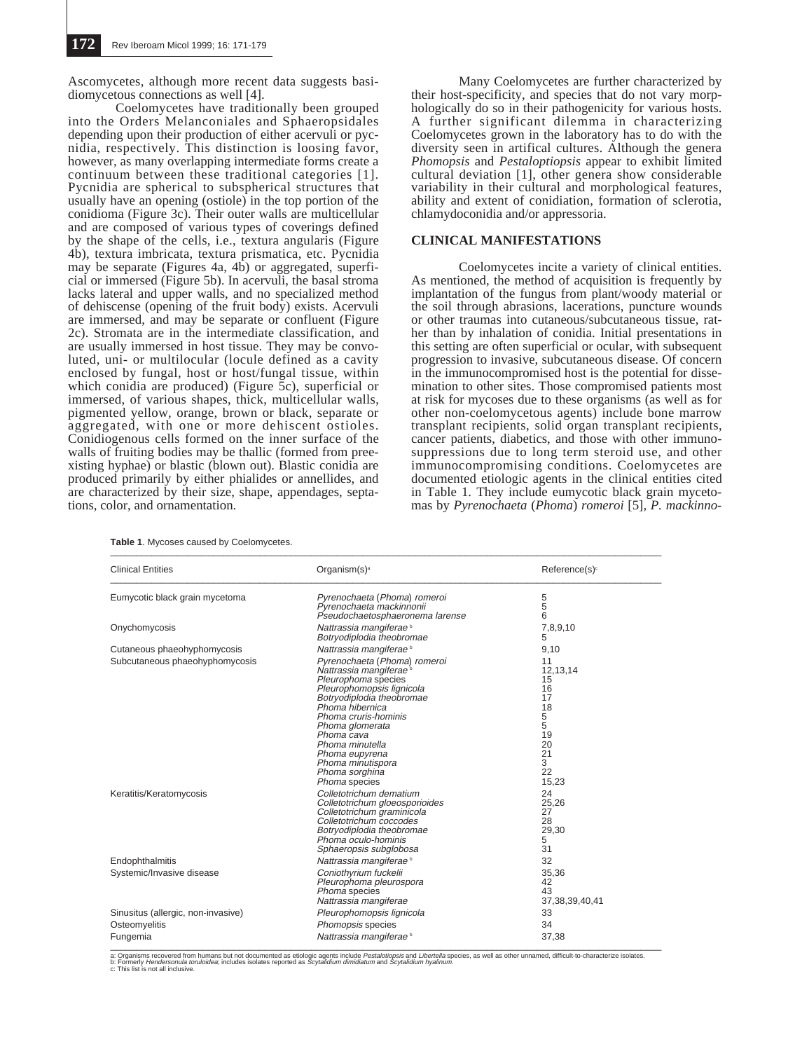Ascomycetes, although more recent data suggests basidiomycetous connections as well [4].

Coelomycetes have traditionally been grouped into the Orders Melanconiales and Sphaeropsidales depending upon their production of either acervuli or pycnidia, respectively. This distinction is loosing favor, however, as many overlapping intermediate forms create a continuum between these traditional categories [1]. Pycnidia are spherical to subspherical structures that usually have an opening (ostiole) in the top portion of the conidioma (Figure 3c). Their outer walls are multicellular and are composed of various types of coverings defined by the shape of the cells, i.e., textura angularis (Figure 4b), textura imbricata, textura prismatica, etc. Pycnidia may be separate (Figures 4a, 4b) or aggregated, superficial or immersed (Figure 5b). In acervuli, the basal stroma lacks lateral and upper walls, and no specialized method of dehiscense (opening of the fruit body) exists. Acervuli are immersed, and may be separate or confluent (Figure 2c). Stromata are in the intermediate classification, and are usually immersed in host tissue. They may be convoluted, uni- or multilocular (locule defined as a cavity enclosed by fungal, host or host/fungal tissue, within which conidia are produced) (Figure 5c), superficial or immersed, of various shapes, thick, multicellular walls, pigmented yellow, orange, brown or black, separate or aggregated, with one or more dehiscent ostioles. Conidiogenous cells formed on the inner surface of the walls of fruiting bodies may be thallic (formed from preexisting hyphae) or blastic (blown out). Blastic conidia are produced primarily by either phialides or annellides, and are characterized by their size, shape, appendages, septations, color, and ornamentation.

Many Coelomycetes are further characterized by their host-specificity, and species that do not vary morphologically do so in their pathogenicity for various hosts. A further significant dilemma in characterizing Coelomycetes grown in the laboratory has to do with the diversity seen in artifical cultures. Although the genera *Phomopsis* and *Pestaloptiopsis* appear to exhibit limited cultural deviation [1], other genera show considerable variability in their cultural and morphological features, ability and extent of conidiation, formation of sclerotia, chlamydoconidia and/or appressoria.

#### **CLINICAL MANIFESTATIONS**

Coelomycetes incite a variety of clinical entities. As mentioned, the method of acquisition is frequently by implantation of the fungus from plant/woody material or the soil through abrasions, lacerations, puncture wounds or other traumas into cutaneous/subcutaneous tissue, rather than by inhalation of conidia. Initial presentations in this setting are often superficial or ocular, with subsequent progression to invasive, subcutaneous disease. Of concern in the immunocompromised host is the potential for dissemination to other sites. Those compromised patients most at risk for mycoses due to these organisms (as well as for other non-coelomycetous agents) include bone marrow transplant recipients, solid organ transplant recipients, cancer patients, diabetics, and those with other immunosuppressions due to long term steroid use, and other immunocompromising conditions. Coelomycetes are documented etiologic agents in the clinical entities cited in Table 1. They include eumycotic black grain mycetomas by *Pyrenochaeta* (*Phoma*) *romeroi* [5]*, P. mackinno-*

| <b>Clinical Entities</b>           | Organism $(s)^a$                                                                                                                                                                                                                                                                                                             | Reference(s) <sup>c</sup>                                                              |  |  |
|------------------------------------|------------------------------------------------------------------------------------------------------------------------------------------------------------------------------------------------------------------------------------------------------------------------------------------------------------------------------|----------------------------------------------------------------------------------------|--|--|
| Eumycotic black grain mycetoma     | Pyrenochaeta (Phoma) romeroi<br>Pyrenochaeta mackinnonii<br>Pseudochaetosphaeronema larense                                                                                                                                                                                                                                  | 5<br>5<br>6                                                                            |  |  |
| Onychomycosis                      | Nattrassia mangiferae <sup>b</sup><br>Botryodiplodia theobromae                                                                                                                                                                                                                                                              | 7,8,9,10<br>5                                                                          |  |  |
| Cutaneous phaeohyphomycosis        | Nattrassia mangiferae <sup>b</sup>                                                                                                                                                                                                                                                                                           | 9,10                                                                                   |  |  |
| Subcutaneous phaeohyphomycosis     | Pyrenochaeta (Phoma) romeroi<br>Nattrassia mangiferae <sup>b</sup><br>Pleurophoma species<br>Pleurophomopsis lignicola<br>Botryodiplodia theobromae<br>Phoma hibernica<br>Phoma cruris-hominis<br>Phoma glomerata<br>Phoma cava<br>Phoma minutella<br>Phoma eupyrena<br>Phoma minutispora<br>Phoma sorghina<br>Phoma species | 11<br>12,13,14<br>15<br>16<br>17<br>18<br>5<br>5<br>19<br>20<br>21<br>3<br>22<br>15,23 |  |  |
| Keratitis/Keratomycosis            | Colletotrichum dematium<br>Colletotrichum gloeosporioides<br>Colletotrichum graminicola<br>Colletotrichum coccodes<br>Botryodiplodia theobromae<br>Phoma oculo-hominis<br>Sphaeropsis subglobosa                                                                                                                             | 24<br>25,26<br>27<br>28<br>29,30<br>5<br>31                                            |  |  |
| Endophthalmitis                    | Nattrassia mangiferae <sup>b</sup>                                                                                                                                                                                                                                                                                           | 32                                                                                     |  |  |
| Systemic/Invasive disease          | Coniothyrium fuckelii<br>Pleurophoma pleurospora<br>Phoma species<br>Nattrassia mangiferae                                                                                                                                                                                                                                   | 35,36<br>42<br>43<br>37, 38, 39, 40, 41                                                |  |  |
| Sinusitus (allergic, non-invasive) | Pleurophomopsis lignicola                                                                                                                                                                                                                                                                                                    | 33                                                                                     |  |  |
| Osteomyelitis                      | Phomopsis species                                                                                                                                                                                                                                                                                                            | 34                                                                                     |  |  |
| Fungemia                           | Nattrassia mangiferae <sup>b</sup>                                                                                                                                                                                                                                                                                           | 37,38                                                                                  |  |  |

Table 1. Mycoses caused by Coelomycetes.

a: Organisms recovered from humans but not documented as etiologic agents include *Pestaldiopsis and Libertella species,* as well as other unnamed, difficult-to-characterize isolates.<br>b: Formerty *Hendersonula toruloidea;* 

**p. Furnerly** *Flendersondia* is<br>c: This list is not all inclusive.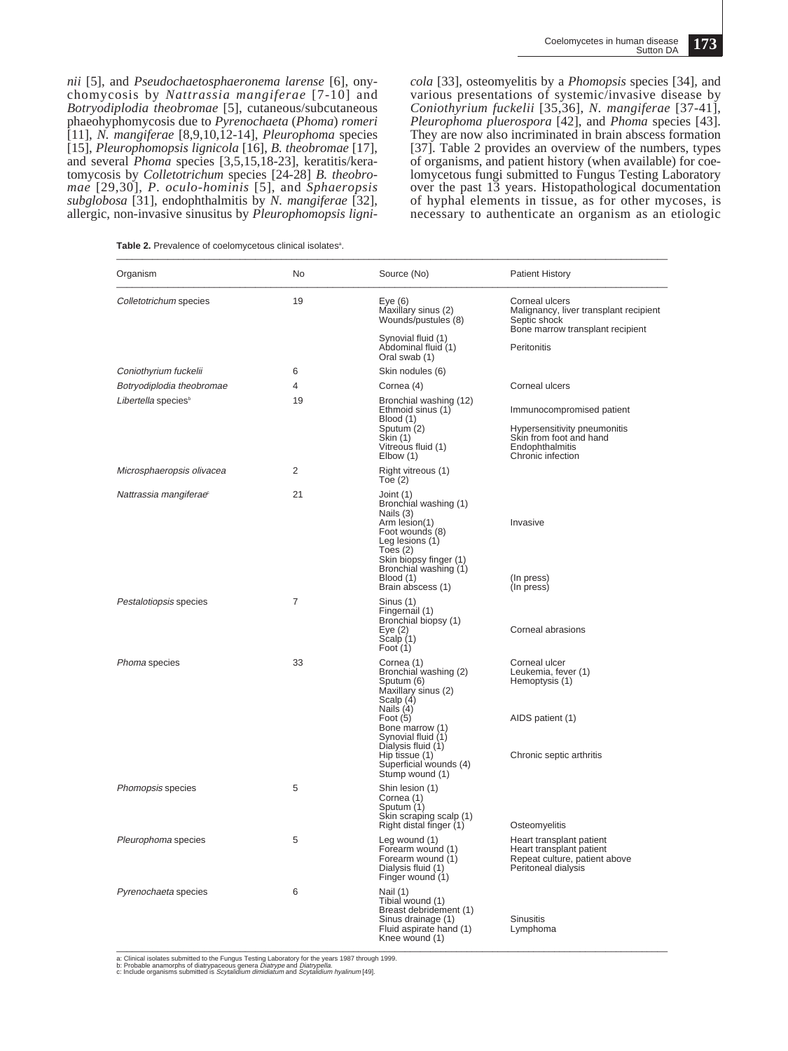*nii* [5], and *Pseudochaetosphaeronema larense* [6], onychomycosis by *Nattrassia mangiferae* [7-10] and *Botryodiplodia theobromae* [5], cutaneous/subcutaneous phaeohyphomycosis due to *Pyrenochaeta* (*Phoma*) *romeri* [11], *N. mangiferae* [8,9,10,12-14], *Pleurophoma* species [15], *Pleurophomopsis lignicola* [16], *B. theobromae* [17], and several *Phoma* species [3,5,15,18-23], keratitis/keratomycosis by *Colletotrichum* species [24-28] *B. theobromae* [29,30], *P. oculo-hominis* [5], and *Sphaeropsis subglobosa* [31], endophthalmitis by *N. mangiferae* [32], allergic, non-invasive sinusitus by *Pleurophomopsis ligni-*

*cola* [33], osteomyelitis by a *Phomopsis* species [34], and various presentations of systemic/invasive disease by *Coniothyrium fuckelii* [35,36], *N. mangiferae* [37-41], *Pleurophoma pluerospora* [42], and *Phoma* species [43]. They are now also incriminated in brain abscess formation [37]. Table 2 provides an overview of the numbers, types of organisms, and patient history (when available) for coelomycetous fungi submitted to Fungus Testing Laboratory over the past 13 years. Histopathological documentation of hyphal elements in tissue, as for other mycoses, is necessary to authenticate an organism as an etiologic

**Table 2.** Prevalence of coelomycetous clinical isolatesa . \_\_\_\_\_\_\_\_\_\_\_\_\_\_\_\_\_\_\_\_\_\_\_\_\_\_\_\_\_\_\_\_\_\_\_\_\_\_\_\_\_\_\_\_\_\_\_\_\_\_\_\_\_\_\_\_\_\_\_\_\_\_\_\_\_\_\_\_\_\_\_\_\_\_\_\_\_\_\_\_\_\_\_\_\_\_\_\_\_\_\_\_\_\_\_\_\_\_\_\_\_\_\_\_\_\_\_

| Organism                           | No             | Source (No)                                                                                                                                                                                                                                    | <b>Patient History</b>                                                                                                       |  |
|------------------------------------|----------------|------------------------------------------------------------------------------------------------------------------------------------------------------------------------------------------------------------------------------------------------|------------------------------------------------------------------------------------------------------------------------------|--|
| Colletotrichum species             | 19             | Eye $(6)$<br>Maxillary sinus (2)<br>Wounds/pustules (8)                                                                                                                                                                                        | Corneal ulcers<br>Malignancy, liver transplant recipient<br>Septic shock<br>Bone marrow transplant recipient                 |  |
|                                    |                | Synovial fluid (1)<br>Abdominal fluid (1)<br>Oral swab (1)                                                                                                                                                                                     | Peritonitis                                                                                                                  |  |
| Coniothyrium fuckelii              | 6              | Skin nodules (6)                                                                                                                                                                                                                               |                                                                                                                              |  |
| Botryodiplodia theobromae          | 4              | Cornea (4)                                                                                                                                                                                                                                     | Corneal ulcers                                                                                                               |  |
| Libertella species <sup>b</sup>    | 19             | Bronchial washing (12)<br>Ethmoid sinus (1)<br>Blood (1)<br>Sputum (2)<br>Skin (1)<br>Vitreous fluid (1)<br>Elbow (1)                                                                                                                          | Immunocompromised patient<br>Hypersensitivity pneumonitis<br>Skin from foot and hand<br>Endophthalmitis<br>Chronic infection |  |
| Microsphaeropsis olivacea          | 2              | Right vitreous (1)<br>Toe $(2)$                                                                                                                                                                                                                |                                                                                                                              |  |
| Nattrassia mangiferae <sup>®</sup> | 21             | Joint (1)<br>Bronchial washing (1)<br>Nails (3)<br>Arm lesion(1)<br>Foot wounds (8)<br>Leg lesions (1)<br>Toes $(2)$<br>Skin biopsy finger (1)<br>Bronchial washing (1)<br>Blood (1)<br>Brain abscess (1)                                      | Invasive<br>(In press)<br>(In press)                                                                                         |  |
| Pestalotiopsis species             | $\overline{7}$ | Sinus (1)<br>Fingernail (1)<br>Bronchial biopsy (1)<br>Eye $(2)$<br>Scalp (1)<br>Foot $(1)$                                                                                                                                                    | Corneal abrasions                                                                                                            |  |
| Phoma species                      | 33             | Cornea (1)<br>Bronchial washing (2)<br>Sputum (6)<br>Maxillary sinus (2)<br>Scalp (4)<br>Nails (4)<br>Foot $(5)$<br>Bone marrow (1)<br>Synovial fluid (1)<br>Dialysis fluid (1)<br>Hip tissue (1)<br>Superficial wounds (4)<br>Stump wound (1) | Corneal ulcer<br>Leukemia, fever (1)<br>Hemoptysis (1)<br>AIDS patient (1)<br>Chronic septic arthritis                       |  |
| Phomopsis species                  | 5              | Shin lesion (1)<br>Cornea (1)<br>Sputum (1)<br>Skin scraping scalp (1)<br>Right distal finger (1)                                                                                                                                              | Osteomyelitis                                                                                                                |  |
| Pleurophoma species                | 5              | Leg wound (1)<br>Forearm wound (1)<br>Forearm wound (1)<br>Dialysis fluid (1)<br>Finger wound (1)                                                                                                                                              | Heart transplant patient<br>Heart transplant patient<br>Repeat culture, patient above<br>Peritoneal dialysis                 |  |
| Pyrenochaeta species               | 6              | Nail (1)<br>Tibial wound (1)<br>Breast debridement (1)<br>Sinus drainage (1)<br>Fluid aspirate hand (1)<br>Knee wound (1)                                                                                                                      | <b>Sinusitis</b><br>Lymphoma                                                                                                 |  |

a: Clinical isolates submitted to the Fungus Testing Laboratory for the years 1987 through 1999.<br>b: Probable anamorphs of diatrypaceous genera *Diatrype* and *Diatrypella.*<br>c: Include organisms submitted is *Scytalidium di*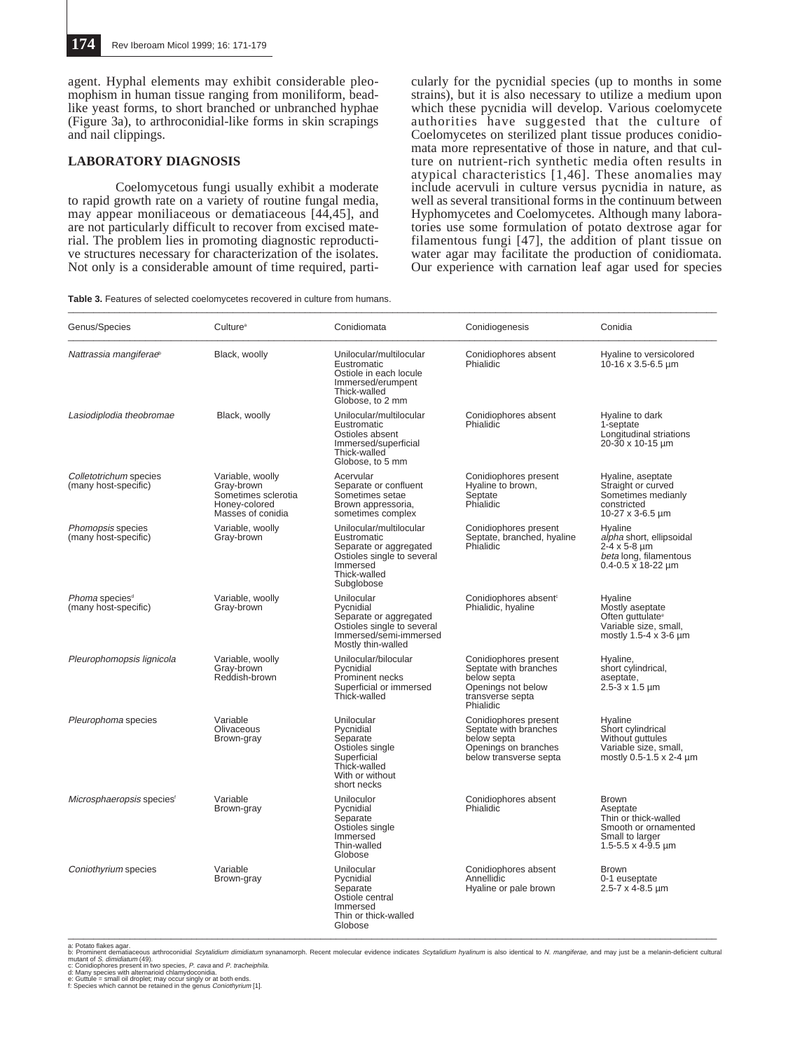agent. Hyphal elements may exhibit considerable pleomophism in human tissue ranging from moniliform, beadlike yeast forms, to short branched or unbranched hyphae (Figure 3a), to arthroconidial-like forms in skin scrapings and nail clippings.

### **LABORATORY DIAGNOSIS**

Coelomycetous fungi usually exhibit a moderate to rapid growth rate on a variety of routine fungal media, may appear moniliaceous or dematiaceous [44,45], and are not particularly difficult to recover from excised material. The problem lies in promoting diagnostic reproductive structures necessary for characterization of the isolates. Not only is a considerable amount of time required, parti-

cularly for the pycnidial species (up to months in some strains), but it is also necessary to utilize a medium upon which these pycnidia will develop. Various coelomycete authorities have suggested that the culture of Coelomycetes on sterilized plant tissue produces conidiomata more representative of those in nature, and that culture on nutrient-rich synthetic media often results in atypical characteristics [1,46]. These anomalies may include acervuli in culture versus pycnidia in nature, as well as several transitional forms in the continuum between Hyphomycetes and Coelomycetes. Although many laboratories use some formulation of potato dextrose agar for filamentous fungi [47], the addition of plant tissue on water agar may facilitate the production of conidiomata. Our experience with carnation leaf agar used for species

| Table 3. Features of selected coelomycetes recovered in culture from humans. |  |  |
|------------------------------------------------------------------------------|--|--|
|------------------------------------------------------------------------------|--|--|

| Genus/Species                                      | Culture <sup>a</sup>                                                                        | Conidiomata                                                                                                                              | Conidiogenesis                                                                                                       | Conidia                                                                                                                         |
|----------------------------------------------------|---------------------------------------------------------------------------------------------|------------------------------------------------------------------------------------------------------------------------------------------|----------------------------------------------------------------------------------------------------------------------|---------------------------------------------------------------------------------------------------------------------------------|
| Nattrassia mangiferae <sup>®</sup>                 | Black, woolly                                                                               | Unilocular/multilocular<br>Eustromatic<br>Ostiole in each locule<br>Immersed/erumpent<br>Thick-walled<br>Globose, to 2 mm                | Conidiophores absent<br>Phialidic                                                                                    | Hyaline to versicolored<br>$10-16 \times 3.5-6.5 \mu m$                                                                         |
| Lasiodiplodia theobromae                           | Black, woolly                                                                               | Unilocular/multilocular<br>Eustromatic<br>Ostioles absent<br>Immersed/superficial<br>Thick-walled<br>Globose, to 5 mm                    | Conidiophores absent<br>Phialidic                                                                                    | Hyaline to dark<br>1-septate<br>Longitudinal striations<br>20-30 x 10-15 um                                                     |
| Colletotrichum species<br>(many host-specific)     | Variable, woolly<br>Grav-brown<br>Sometimes sclerotia<br>Honey-colored<br>Masses of conidia | Acervular<br>Separate or confluent<br>Sometimes setae<br>Brown appressoria.<br>sometimes complex                                         | Conidiophores present<br>Hyaline to brown,<br>Septate<br>Phialidic                                                   | Hyaline, aseptate<br>Straight or curved<br>Sometimes medianly<br>constricted<br>10-27 x 3-6.5 µm                                |
| Phomopsis species<br>(many host-specific)          | Variable, woolly<br>Gray-brown                                                              | Unilocular/multilocular<br>Eustromatic<br>Separate or aggregated<br>Ostioles single to several<br>Immersed<br>Thick-walled<br>Subglobose | Conidiophores present<br>Septate, branched, hyaline<br>Phialidic                                                     | Hvaline<br>alpha short, ellipsoidal<br>$2-4 \times 5-8 \mu m$<br>beta long, filamentous<br>$0.4 - 0.5 \times 18 - 22 \mu m$     |
| Phoma species <sup>®</sup><br>(many host-specific) | Variable, woolly<br>Gray-brown                                                              | Unilocular<br>Pvcnidial<br>Separate or aggregated<br>Ostioles single to several<br>Immersed/semi-immersed<br>Mostly thin-walled          | Conidiophores absent <sup>®</sup><br>Phialidic, hyaline                                                              | Hvaline<br>Mostly aseptate<br>Often guttulate <sup>®</sup><br>Variable size, small,<br>mostly 1.5-4 x 3-6 um                    |
| Pleurophomopsis lignicola                          | Variable, woolly<br>Gray-brown<br>Reddish-brown                                             | Unilocular/bilocular<br>Pycnidial<br>Prominent necks<br>Superficial or immersed<br>Thick-walled                                          | Conidiophores present<br>Septate with branches<br>below septa<br>Openings not below<br>transverse septa<br>Phialidic | Hyaline,<br>short cylindrical,<br>aseptate.<br>$2.5 - 3 \times 1.5$ µm                                                          |
| Pleurophoma species                                | Variable<br>Olivaceous<br>Brown-gray                                                        | Unilocular<br>Pycnidial<br>Separate<br>Ostioles single<br>Superficial<br>Thick-walled<br>With or without<br>short necks                  | Conidiophores present<br>Septate with branches<br>below septa<br>Openings on branches<br>below transverse septa      | Hyaline<br>Short cylindrical<br>Without guttules<br>Variable size, small,<br>mostly 0.5-1.5 x 2-4 um                            |
| Microsphaeropsis species <sup>®</sup>              | Variable<br>Brown-gray                                                                      | Uniloculor<br>Pycnidial<br>Separate<br>Ostioles single<br>Immersed<br>Thin-walled<br>Globose                                             | Conidiophores absent<br>Phialidic                                                                                    | <b>Brown</b><br>Aseptate<br>Thin or thick-walled<br>Smooth or ornamented<br>Small to larger<br>$1.5 - 5.5 \times 4 - 9.5 \mu m$ |
| Coniothyrium species                               | Variable<br>Brown-gray                                                                      | Unilocular<br>Pycnidial<br>Separate<br>Ostiole central<br>Immersed<br>Thin or thick-walled<br>Globose                                    | Conidiophores absent<br>Annellidic<br>Hyaline or pale brown                                                          | <b>Brown</b><br>0-1 euseptate<br>$2.5 - 7 \times 4 - 8.5 \,\mu m$                                                               |

a: Potato flakes agar.<br>b: Prominent dematiaceous arthroconidial *Scytalidium dimidiatum* synanamorph. Recent molecular evidence indicates *Scytalidium hyalinum* is also identical to *N. mangiferae*, and may just be a melan

e: Guttule = small oil droplet; may occur singly or at both ends.<br>f: Species which cannot be retained in the genus *Coniothyrium* [1].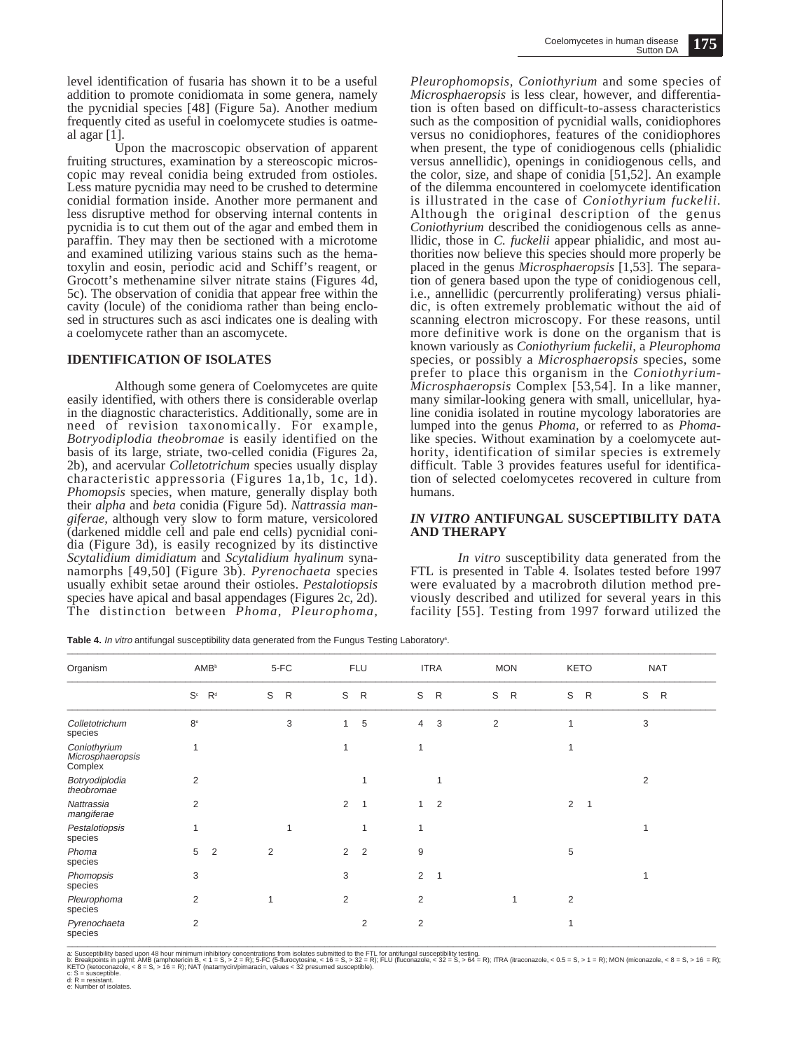level identification of fusaria has shown it to be a useful addition to promote conidiomata in some genera, namely the pycnidial species [48] (Figure 5a). Another medium frequently cited as useful in coelomycete studies is oatmeal agar [1].

Upon the macroscopic observation of apparent fruiting structures, examination by a stereoscopic microscopic may reveal conidia being extruded from ostioles. Less mature pycnidia may need to be crushed to determine conidial formation inside. Another more permanent and less disruptive method for observing internal contents in pycnidia is to cut them out of the agar and embed them in paraffin. They may then be sectioned with a microtome and examined utilizing various stains such as the hematoxylin and eosin, periodic acid and Schiff's reagent, or Grocott's methenamine silver nitrate stains (Figures 4d, 5c). The observation of conidia that appear free within the cavity (locule) of the conidioma rather than being enclosed in structures such as asci indicates one is dealing with a coelomycete rather than an ascomycete.

#### **IDENTIFICATION OF ISOLATES**

Although some genera of Coelomycetes are quite easily identified, with others there is considerable overlap in the diagnostic characteristics. Additionally, some are in need of revision taxonomically. For example, *Botryodiplodia theobromae* is easily identified on the basis of its large, striate, two-celled conidia (Figures 2a, 2b), and acervular *Colletotrichum* species usually display characteristic appressoria (Figures 1a,1b, 1c, 1d). *Phomopsis* species, when mature, generally display both their *alpha* and *beta* conidia (Figure 5d). *Nattrassia mangiferae,* although very slow to form mature, versicolored (darkened middle cell and pale end cells) pycnidial conidia (Figure 3d), is easily recognized by its distinctive *Scytalidium dimidiatum* and *Scytalidium hyalinum* synanamorphs [49,50] (Figure 3b). *Pyrenochaeta* species usually exhibit setae around their ostioles. *Pestalotiopsis* species have apical and basal appendages (Figures 2c, 2d). The distinction between *Phoma, Pleurophoma,*

*Pleurophomopsis, Coniothyrium* and some species of *Microsphaeropsis* is less clear, however, and differentiation is often based on difficult-to-assess characteristics such as the composition of pycnidial walls, conidiophores versus no conidiophores, features of the conidiophores when present, the type of conidiogenous cells (phialidic versus annellidic), openings in conidiogenous cells, and the color, size, and shape of conidia [51,52]. An example of the dilemma encountered in coelomycete identification is illustrated in the case of *Coniothyrium fuckelii.* Although the original description of the genus *Coniothyrium* described the conidiogenous cells as annellidic, those in *C. fuckelii* appear phialidic, and most authorities now believe this species should more properly be placed in the genus *Microsphaeropsis* [1,53]*.* The separation of genera based upon the type of conidiogenous cell, i.e., annellidic (percurrently proliferating) versus phialidic, is often extremely problematic without the aid of scanning electron microscopy. For these reasons, until more definitive work is done on the organism that is known variously as *Coniothyrium fuckelii*, a *Pleurophoma* species, or possibly a *Microsphaeropsis* species, some prefer to place this organism in the *Coniothyrium-Microsphaeropsis* Complex [53,54]. In a like manner, many similar-looking genera with small, unicellular, hyaline conidia isolated in routine mycology laboratories are lumped into the genus *Phoma,* or referred to as *Phoma*like species. Without examination by a coelomycete authority, identification of similar species is extremely difficult. Table 3 provides features useful for identification of selected coelomycetes recovered in culture from humans.

#### *IN VITRO* **ANTIFUNGAL SUSCEPTIBILITY DATA AND THERAPY**

*In vitro* susceptibility data generated from the FTL is presented in Table 4. Isolates tested before 1997 were evaluated by a macrobroth dilution method previously described and utilized for several years in this facility [55]. Testing from 1997 forward utilized the

Table 4. In vitro antifungal susceptibility data generated from the Fungus Testing Laboratory<sup>s</sup>.<br>
The contract of the contract of the contract of the contract of the contract of the contract of the contract of the contrac

| Organism                                    | <b>AMB</b> <sup>b</sup>                 | 5-FC              | <b>FLU</b>                       | <b>ITRA</b>                      | <b>MON</b>        | <b>KETO</b>       | <b>NAT</b>        |
|---------------------------------------------|-----------------------------------------|-------------------|----------------------------------|----------------------------------|-------------------|-------------------|-------------------|
|                                             | $\mathbf{S}^\text{c}$<br>R <sup>d</sup> | S<br>$\mathsf{R}$ | $\mathbb S$<br>$\mathsf{R}$      | $\mathsf{R}$<br>S                | S<br>$\mathsf{R}$ | S<br>$\mathsf{R}$ | S<br>$\mathsf{R}$ |
| Colletotrichum<br>species                   | $8^{\circ}$                             | 3                 | 5<br>1                           | 3<br>4                           | $\overline{2}$    |                   | 3                 |
| Coniothyrium<br>Microsphaeropsis<br>Complex | 1                                       |                   | 1                                | $\mathbf{1}$                     |                   |                   |                   |
| Botryodiplodia<br>theobromae                | $\overline{2}$                          |                   |                                  | 1                                |                   |                   | $\overline{2}$    |
| Nattrassia<br>mangiferae                    | $\overline{2}$                          |                   | 2<br>1                           | 2<br>1                           |                   | 2<br>$\mathbf{1}$ |                   |
| Pestalotiopsis<br>species                   | 1                                       | 1                 |                                  | 1                                |                   |                   |                   |
| Phoma<br>species                            | $\overline{2}$<br>5                     | 2                 | $\overline{2}$<br>$\overline{2}$ | 9                                |                   | 5                 |                   |
| Phomopsis<br>species                        | 3                                       |                   | 3                                | $\overline{2}$<br>$\overline{1}$ |                   |                   |                   |
| Pleurophoma<br>species                      | $\overline{2}$                          | 1                 | $\overline{2}$                   | $\overline{2}$                   | 1                 | $\overline{c}$    |                   |
| Pyrenochaeta<br><b>CONCIDE</b>              | $\overline{2}$                          |                   | $\overline{2}$                   | $\overline{2}$                   |                   |                   |                   |

Pyrenochaeta 2<br>Species 1<br>2. Susceptibility based upon 48 hour minimum inhibitory concentrations from isolates submitted to the FTL for antifungal susceptibility testing.<br>b: Breakpoints in µg/ml: AMB (amphotericin B, < 1 =

e: Number of isolates.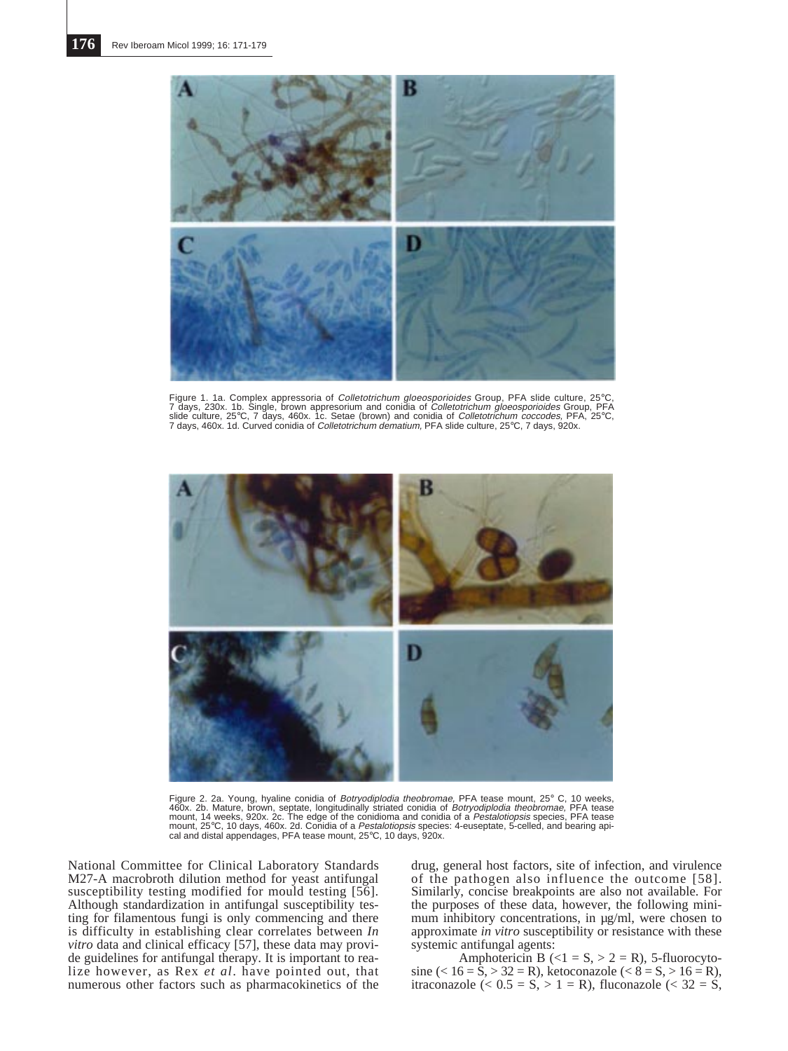

Figure 1. 1a. Complex appressoria of *Colletotrichum gloeosporioides* Group, PFA slide culture, 25°C,<br>7 days, 230x. 1b. Single, brown appresorium and conidia of *Colletotrichum gloeosporioide*s Group, PFA<br>slide culture, 2



Figure 2. 2a. Young, hyaline conidia of *Botryodiplodia theobromae*, PFA tease mount, 25° C, 10 weeks,<br>460x. 2b. Mature, brown, septate, longitudinally striated conidia of *Botryodiplodia theobromae,* PFA tease<br>mount, 14 w mount, 25°C, 10 days, 460x. 2d. Conidia of a *Pestalotiopsis* species: 4-euseptate, 5-celled, and bearing api-<br>cal and distal appendages, PFA tease mount, 25°C, 10 days, 920x.

National Committee for Clinical Laboratory Standards M27-A macrobroth dilution method for yeast antifungal susceptibility testing modified for mould testing [56]. Although standardization in antifungal susceptibility testing for filamentous fungi is only commencing and there is difficulty in establishing clear correlates between *In vitro* data and clinical efficacy [57], these data may provide guidelines for antifungal therapy. It is important to realize however, as Rex *et al*. have pointed out, that numerous other factors such as pharmacokinetics of the

drug, general host factors, site of infection, and virulence of the pathogen also influence the outcome [58]. Similarly, concise breakpoints are also not available. For the purposes of these data, however, the following minimum inhibitory concentrations, in µg/ml, were chosen to approximate *in vitro* susceptibility or resistance with these systemic antifungal agents:

Amphotericin B  $( $1 = S$ ,  $> 2 = R$ ), 5-fluorocyto$ sine (<  $16 = \overline{S}$ , >  $32 = R$ ), ketoconazole (<  $8 = S$ , >  $16 = R$ ), itraconazole (<  $0.5 = S$ , > 1 = R), fluconazole (<  $32 = S$ ,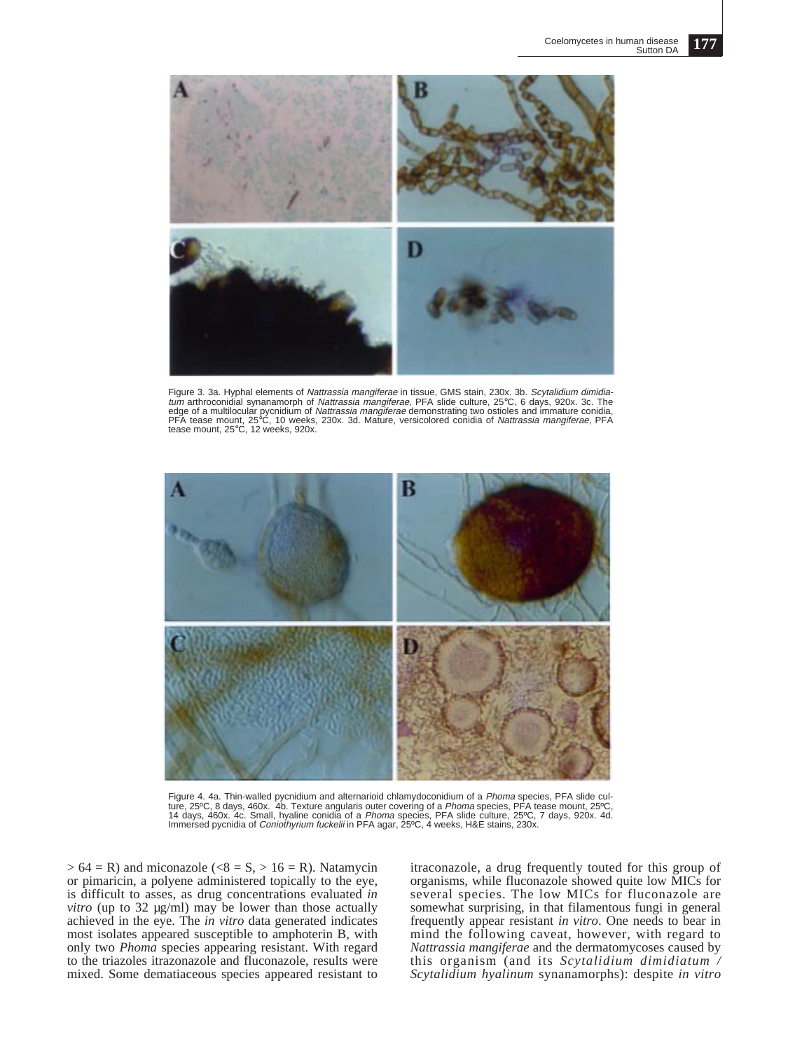

Figure 3. 3a. Hyphal elements of Nattrassia mangiferae in tissue, GMS stain, 230x. 3b. Scytalidium dimidiatum arthroconidial synanamorph of Nattrassia mangiferae, PFA slide culture, 25°C, 6 days, 920x. 3c. The edge of a multilocular pycnidium of *Nattrassia mangiferae* demonstrating two ostioles and immature conidia,<br>PFA tease mount, 25°C, 10 weeks, 230x. 3d. Mature, versicolored conidia of *Nattrassia mangiferae,* PFA<br>tease mou



Figure 4. 4a. Thin-walled pycnidium and alternarioid chlamydoconidium of a Phoma species, PFA slide culture, 25ºC, 8 days, 460x. 4b. Texture angularis outer covering of a *Phoma* species, PFA tease mount, 25ºC,<br>14 days, 460x. 4c. Small, hyaline conidia of a *Phoma* species, PFA slide culture, 25ºC, 7 days, 920x. 4d.<br>Immers

 $> 64$  = R) and miconazole ( $< 8$  = S,  $> 16$  = R). Natamycin or pimaricin, a polyene administered topically to the eye, is difficult to asses, as drug concentrations evaluated *in vitro* (up to 32 µg/ml) may be lower than those actually achieved in the eye. The *in vitro* data generated indicates most isolates appeared susceptible to amphoterin B, with only two *Phoma* species appearing resistant. With regard to the triazoles itrazonazole and fluconazole, results were mixed. Some dematiaceous species appeared resistant to

itraconazole, a drug frequently touted for this group of organisms, while fluconazole showed quite low MICs for several species. The low MICs for fluconazole are somewhat surprising, in that filamentous fungi in general frequently appear resistant *in vitro*. One needs to bear in mind the following caveat, however, with regard to *Nattrassia mangiferae* and the dermatomycoses caused by this organism (and its *Scytalidium dimidiatum / Scytalidium hyalinum* synanamorphs): despite *in vitro*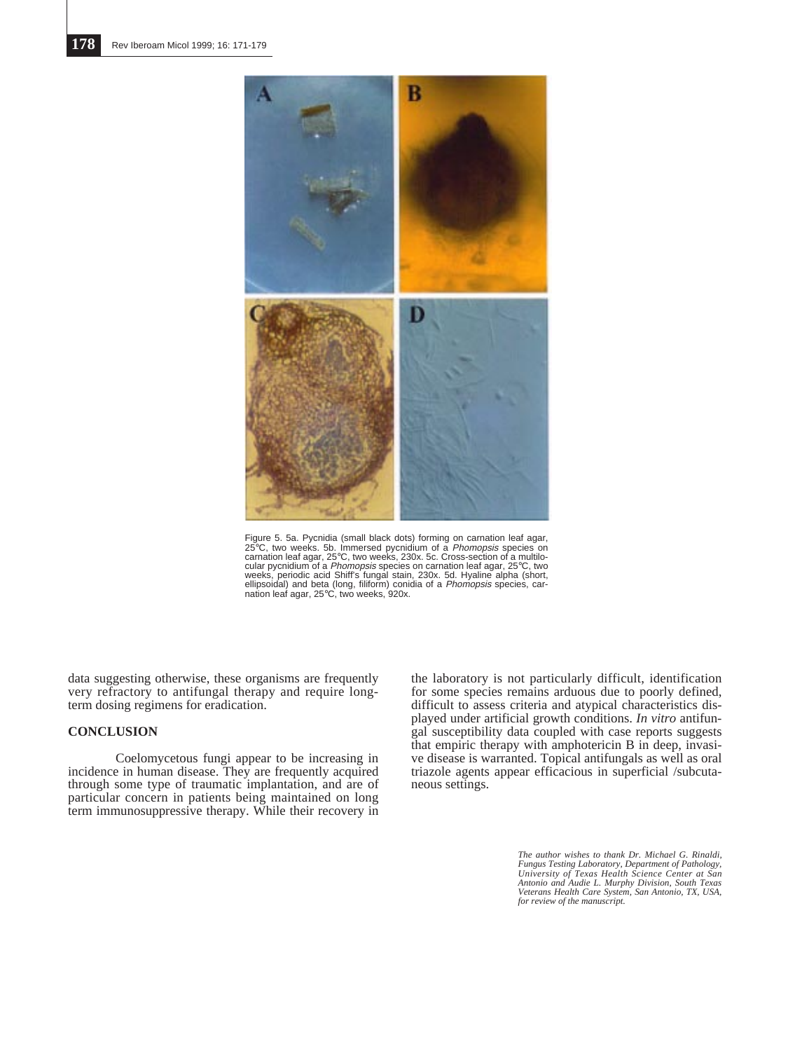![](_page_7_Figure_1.jpeg)

Figure 5. 5a. Pycnidia (small black dots) forming on carnation leaf agar,<br>25°C, two weeks. 5b. Immersed pycnidium of a *Phomopsis* species on<br>carnation leaf agar, 25°C, two weeks, 230x. 5c. Cross-section of a multilocular pycnidium of a *Phomopsis* species on carnation leaf agar, 25°C, two<br>weeks, periodic acid Shiff's fungal stain, 230x. 5d. Hyaline alpha (short,<br>ellipsoidal) and beta (long, filiform) conidia of a *Phomopsis* species, nation leaf agar, 25°C, two weeks, 920x.

data suggesting otherwise, these organisms are frequently very refractory to antifungal therapy and require longterm dosing regimens for eradication.

## **CONCLUSION**

Coelomycetous fungi appear to be increasing in incidence in human disease. They are frequently acquired through some type of traumatic implantation, and are of particular concern in patients being maintained on long term immunosuppressive therapy. While their recovery in

the laboratory is not particularly difficult, identification for some species remains arduous due to poorly defined, difficult to assess criteria and atypical characteristics displayed under artificial growth conditions. *In vitro* antifungal susceptibility data coupled with case reports suggests that empiric therapy with amphotericin B in deep, invasive disease is warranted. Topical antifungals as well as oral triazole agents appear efficacious in superficial /subcutaneous settings.

> *The author wishes to thank Dr. Michael G. Rinaldi, Fungus Testing Laboratory, Department of Pathology, University of Texas Health Science Center at San Antonio and Audie L. Murphy Division, South Texas Veterans Health Care System, San Antonio, TX, USA, for review of the manuscript.*